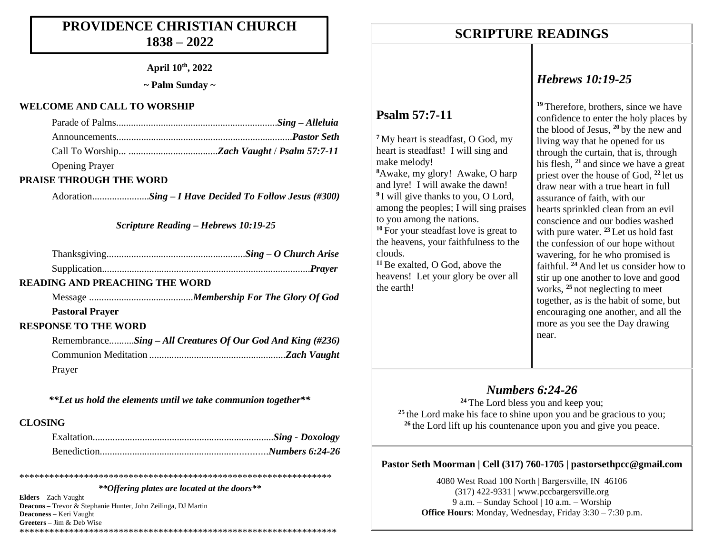### **PROVIDENCE CHRISTIAN CHURCH 1838 – 2022**

**April 10th, 2022**

**~ Palm Sunday ~**

#### **WELCOME AND CALL TO WORSHIP**

| <b>Opening Prayer</b> |
|-----------------------|

#### **PRAISE THROUGH THE WORD**

Adoration.......................*Sing – I Have Decided To Follow Jesus (#300)*

*Scripture Reading – Hebrews 10:19-25*

#### **READING AND PREACHING THE WORD**

Message ..........................................*Membership For The Glory Of God*

#### **Pastoral Prayer**

#### **RESPONSE TO THE WORD**

| RemembranceSing – All Creatures Of Our God And King (#236) |  |
|------------------------------------------------------------|--|
|                                                            |  |
| Prayer                                                     |  |

*\*\*Let us hold the elements until we take communion together\*\**

#### **CLOSING**

*\*\*Offering plates are located at the doors\*\**

\*\*\*\*\*\*\*\*\*\*\*\*\*\*\*\*\*\*\*\*\*\*\*\*\*\*\*\*\*\*\*\*\*\*\*\*\*\*\*\*\*\*\*\*\*\*\*\*\*\*\*\*\*\*\*\*\*\*\*\*\*\*\*

**Elders –** Zach Vaught **Deacons –** Trevor & Stephanie Hunter, John Zeilinga, DJ Martin **Deaconess –** Keri Vaught **Greeters –** Jim & Deb Wise \*\*\*\*\*\*\*\*\*\*\*\*\*\*\*\*\*\*\*\*\*\*\*\*\*\*\*\*\*\*\*\*\*\*\*\*\*\*\*\*\*\*\*\*\*\*\*\*\*\*\*\*\*\*\*\*\*\*\*\*\*\*\*\*

### **SCRIPTURE READINGS SCRIPTURE READINGS**

**Psalm 57:7-11**

make melody!

clouds.

the earth!

**<sup>7</sup>** My heart is steadfast, O God, my heart is steadfast! I will sing and

**<sup>8</sup>**Awake, my glory! Awake, O harp and lyre! I will awake the dawn! <sup>9</sup>I will give thanks to you, O Lord, among the peoples; I will sing praises

**<sup>10</sup>** For your steadfast love is great to the heavens, your faithfulness to the

**<sup>11</sup>**Be exalted, O God, above the heavens! Let your glory be over all

to you among the nations.

### *Hebrews 10:19-25*

**<sup>19</sup>** Therefore, brothers, since we have confidence to enter the holy places by the blood of Jesus, **<sup>20</sup>** by the new and living way that he opened for us through the curtain, that is, through his flesh, **<sup>21</sup>** and since we have a great priest over the house of God, **<sup>22</sup>** let us draw near with a true heart in full assurance of faith, with our hearts sprinkled clean from an evil conscience and our bodies washed with pure water. **<sup>23</sup>** Let us hold fast the confession of our hope without wavering, for he who promised is faithful. **<sup>24</sup>** And let us consider how to stir up one another to love and good works, **<sup>25</sup>** not neglecting to meet together, as is the habit of some, but encouraging one another, and all the more as you see the Day drawing near.

### *Numbers 6:24-26*

**<sup>24</sup>** The Lord bless you and keep you; <sup>25</sup> the Lord make his face to shine upon you and be gracious to you; <sup>26</sup> the Lord lift up his countenance upon you and give you peace.

#### **Pastor Seth Moorman | Cell (317) 760-1705 | pastorsethpcc@gmail.com**

4080 West Road 100 North | Bargersville, IN 46106 (317) 422-9331 | www.pccbargersville.org 9 a.m. – Sunday School | 10 a.m. – Worship **Office Hours**: Monday, Wednesday, Friday 3:30 – 7:30 p.m.